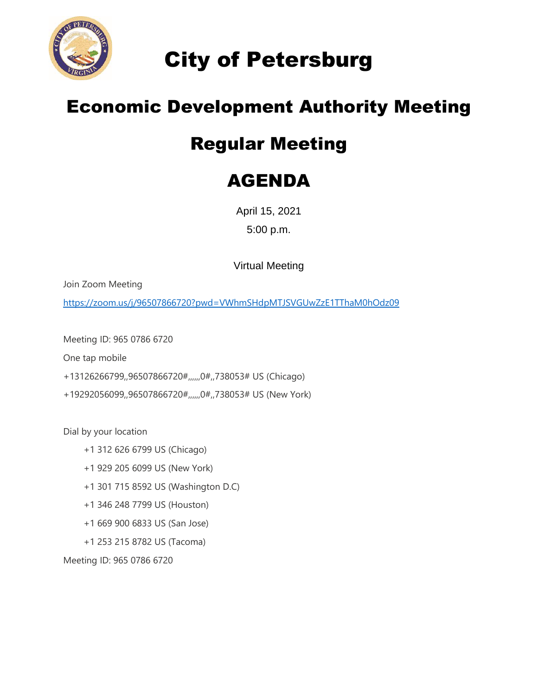

City of Petersburg

## Economic Development Authority Meeting

## Regular Meeting

## AGENDA

April 15, 2021 5:00 p.m.

Virtual Meeting

Join Zoom Meeting

<https://zoom.us/j/96507866720?pwd=VWhmSHdpMTJSVGUwZzE1TThaM0hOdz09>

Meeting ID: 965 0786 6720

One tap mobile

+13126266799,,96507866720#,,,,,,0#,,738053# US (Chicago)

+19292056099,,96507866720#,,,,,,0#,,738053# US (New York)

Dial by your location

- +1 312 626 6799 US (Chicago)
- +1 929 205 6099 US (New York)
- +1 301 715 8592 US (Washington D.C)
- +1 346 248 7799 US (Houston)
- +1 669 900 6833 US (San Jose)
- +1 253 215 8782 US (Tacoma)

Meeting ID: 965 0786 6720